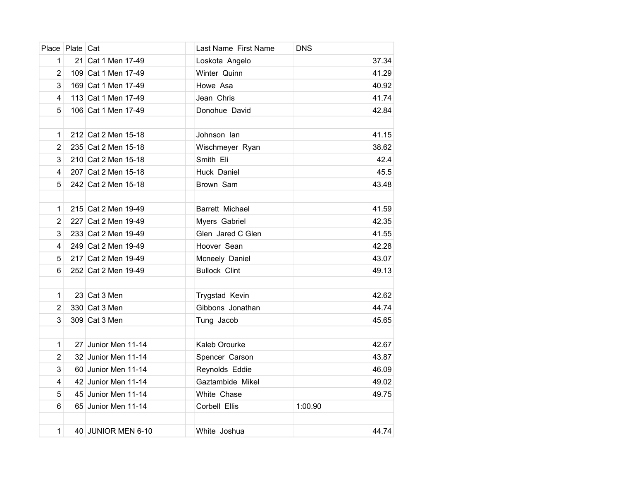|                | Place Plate Cat |                     | Last Name First Name | <b>DNS</b> |
|----------------|-----------------|---------------------|----------------------|------------|
| 1              |                 | 21 Cat 1 Men 17-49  | Loskota Angelo       | 37.34      |
| $\overline{2}$ |                 | 109 Cat 1 Men 17-49 | Winter Quinn         | 41.29      |
| 3              |                 | 169 Cat 1 Men 17-49 | Howe Asa             | 40.92      |
| 4              |                 | 113 Cat 1 Men 17-49 | Jean Chris           | 41.74      |
| 5              |                 | 106 Cat 1 Men 17-49 | Donohue David        | 42.84      |
|                |                 |                     |                      |            |
| 1              |                 | 212 Cat 2 Men 15-18 | Johnson lan          | 41.15      |
| $\overline{2}$ |                 | 235 Cat 2 Men 15-18 | Wischmeyer Ryan      | 38.62      |
| 3              |                 | 210 Cat 2 Men 15-18 | Smith Eli            | 42.4       |
| 4              |                 | 207 Cat 2 Men 15-18 | Huck Daniel          | 45.5       |
| 5              |                 | 242 Cat 2 Men 15-18 | Brown Sam            | 43.48      |
|                |                 |                     |                      |            |
| 1              |                 | 215 Cat 2 Men 19-49 | Barrett Michael      | 41.59      |
| $\overline{2}$ |                 | 227 Cat 2 Men 19-49 | Myers Gabriel        | 42.35      |
| 3              |                 | 233 Cat 2 Men 19-49 | Glen Jared C Glen    | 41.55      |
| 4              |                 | 249 Cat 2 Men 19-49 | Hoover Sean          | 42.28      |
| 5              |                 | 217 Cat 2 Men 19-49 | Mcneely Daniel       | 43.07      |
| 6              |                 | 252 Cat 2 Men 19-49 | <b>Bullock Clint</b> | 49.13      |
|                |                 |                     |                      |            |
| 1              |                 | 23 Cat 3 Men        | Trygstad Kevin       | 42.62      |
| $\overline{c}$ |                 | 330 Cat 3 Men       | Gibbons Jonathan     | 44.74      |
| 3              |                 | 309 Cat 3 Men       | Tung Jacob           | 45.65      |
|                |                 |                     |                      |            |
| 1              |                 | 27 Junior Men 11-14 | Kaleb Orourke        | 42.67      |
| $\overline{2}$ |                 | 32 Junior Men 11-14 | Spencer Carson       | 43.87      |
| 3              |                 | 60 Junior Men 11-14 | Reynolds Eddie       | 46.09      |
| 4              |                 | 42 Junior Men 11-14 | Gaztambide Mikel     | 49.02      |
| 5              |                 | 45 Junior Men 11-14 | White Chase          | 49.75      |
| 6              |                 | 65 Junior Men 11-14 | Corbell Ellis        | 1:00.90    |
|                |                 |                     |                      |            |
| $\mathbf{1}$   |                 | 40 JUNIOR MEN 6-10  | White Joshua         | 44.74      |